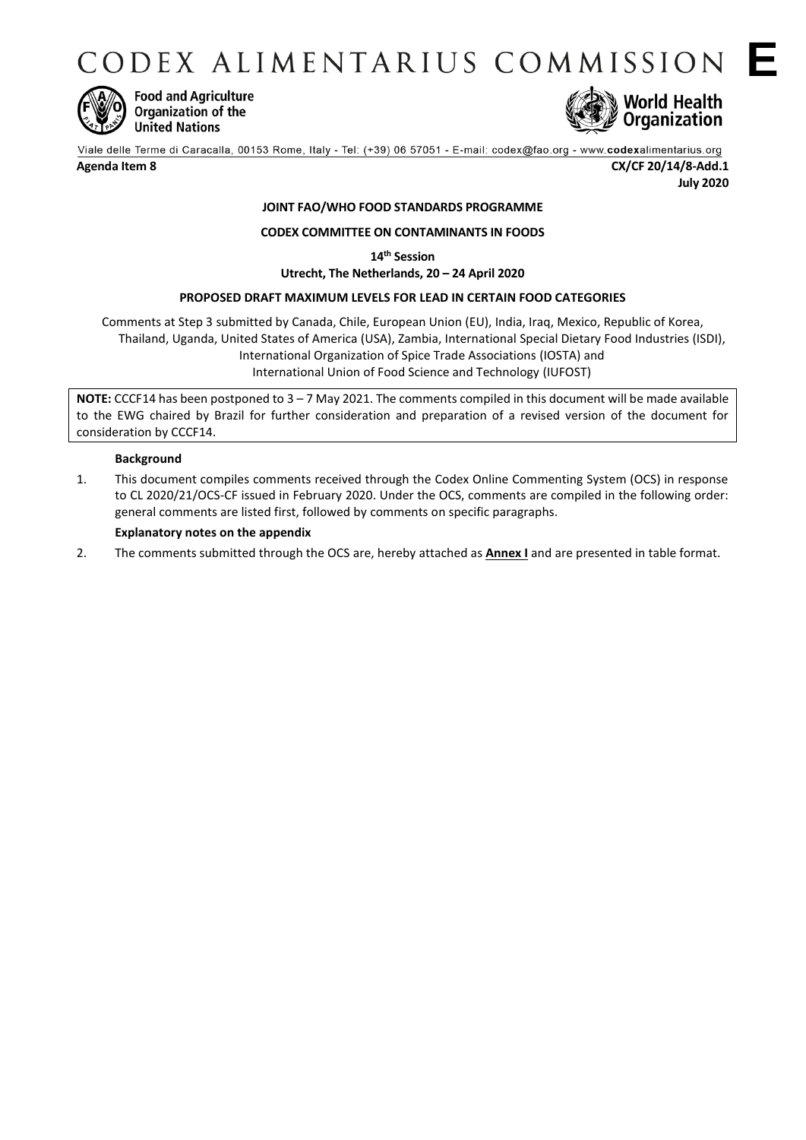CODEX ALIMENTARIUS COMMISSION E



**Food and Agriculture** Organization of the **United Nations** 



**Agenda Item 8 CX/CF 20/14/8-Add.1 July 2020**

# **JOINT FAO/WHO FOOD STANDARDS PROGRAMME**

## **CODEX COMMITTEE ON CONTAMINANTS IN FOODS**

**14th Session**

**Utrecht, The Netherlands, 20 – 24 April 2020**

## **PROPOSED DRAFT MAXIMUM LEVELS FOR LEAD IN CERTAIN FOOD CATEGORIES**

Comments at Step 3 submitted by Canada, Chile, European Union (EU), India, Iraq, Mexico, Republic of Korea, Thailand, Uganda, United States of America (USA), Zambia, International Special Dietary Food Industries (ISDI), [International Organization of Spice Trade Associations](http://www.fao.org/fao-who-codexalimentarius/about-codex/observers/detail/en/c/14608/) (IOSTA) and [International Union of Food Science and Technology](http://www.fao.org/fao-who-codexalimentarius/about-codex/observers/detail/en/c/14671/) (IUFOST)

**NOTE:** CCCF14 has been postponed to 3 – 7 May 2021. The comments compiled in this document will be made available to the EWG chaired by Brazil for further consideration and preparation of a revised version of the document for consideration by CCCF14.

### **Background**

1. This document compiles comments received through the Codex Online Commenting System (OCS) in response to CL 2020/21/OCS-CF issued in February 2020. Under the OCS, comments are compiled in the following order: general comments are listed first, followed by comments on specific paragraphs.

#### **Explanatory notes on the appendix**

2. The comments submitted through the OCS are, hereby attached as **Annex I** and are presented in table format.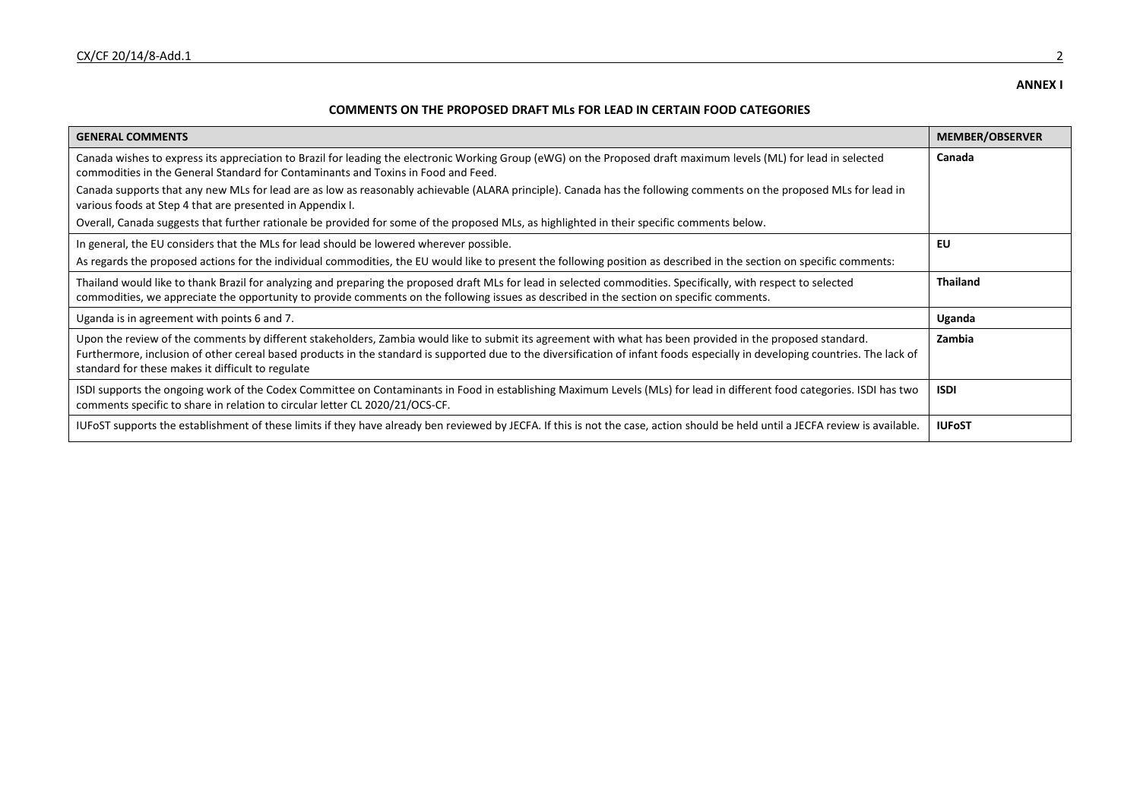### **ANNEX I**

## **COMMENTS ON THE PROPOSED DRAFT MLs FOR LEAD IN CERTAIN FOOD CATEGORIES**

| <b>GENERAL COMMENTS</b>                                                                                                                                                                                                                                                                                                                                                                          | <b>MEMBER/OBSERVER</b> |
|--------------------------------------------------------------------------------------------------------------------------------------------------------------------------------------------------------------------------------------------------------------------------------------------------------------------------------------------------------------------------------------------------|------------------------|
| Canada wishes to express its appreciation to Brazil for leading the electronic Working Group (eWG) on the Proposed draft maximum levels (ML) for lead in selected<br>commodities in the General Standard for Contaminants and Toxins in Food and Feed.                                                                                                                                           | Canada                 |
| Canada supports that any new MLs for lead are as low as reasonably achievable (ALARA principle). Canada has the following comments on the proposed MLs for lead in<br>various foods at Step 4 that are presented in Appendix I.                                                                                                                                                                  |                        |
| Overall, Canada suggests that further rationale be provided for some of the proposed MLs, as highlighted in their specific comments below.                                                                                                                                                                                                                                                       |                        |
| In general, the EU considers that the MLs for lead should be lowered wherever possible.                                                                                                                                                                                                                                                                                                          | EU                     |
| As regards the proposed actions for the individual commodities, the EU would like to present the following position as described in the section on specific comments:                                                                                                                                                                                                                            |                        |
| Thailand would like to thank Brazil for analyzing and preparing the proposed draft MLs for lead in selected commodities. Specifically, with respect to selected<br>commodities, we appreciate the opportunity to provide comments on the following issues as described in the section on specific comments.                                                                                      | <b>Thailand</b>        |
| Uganda is in agreement with points 6 and 7.                                                                                                                                                                                                                                                                                                                                                      | Uganda                 |
| Upon the review of the comments by different stakeholders, Zambia would like to submit its agreement with what has been provided in the proposed standard.<br>Furthermore, inclusion of other cereal based products in the standard is supported due to the diversification of infant foods especially in developing countries. The lack of<br>standard for these makes it difficult to regulate | Zambia                 |
| ISDI supports the ongoing work of the Codex Committee on Contaminants in Food in establishing Maximum Levels (MLs) for lead in different food categories. ISDI has two<br>comments specific to share in relation to circular letter CL 2020/21/OCS-CF.                                                                                                                                           | <b>ISDI</b>            |
| IUFoST supports the establishment of these limits if they have already ben reviewed by JECFA. If this is not the case, action should be held until a JECFA review is available.                                                                                                                                                                                                                  | <b>IUFoST</b>          |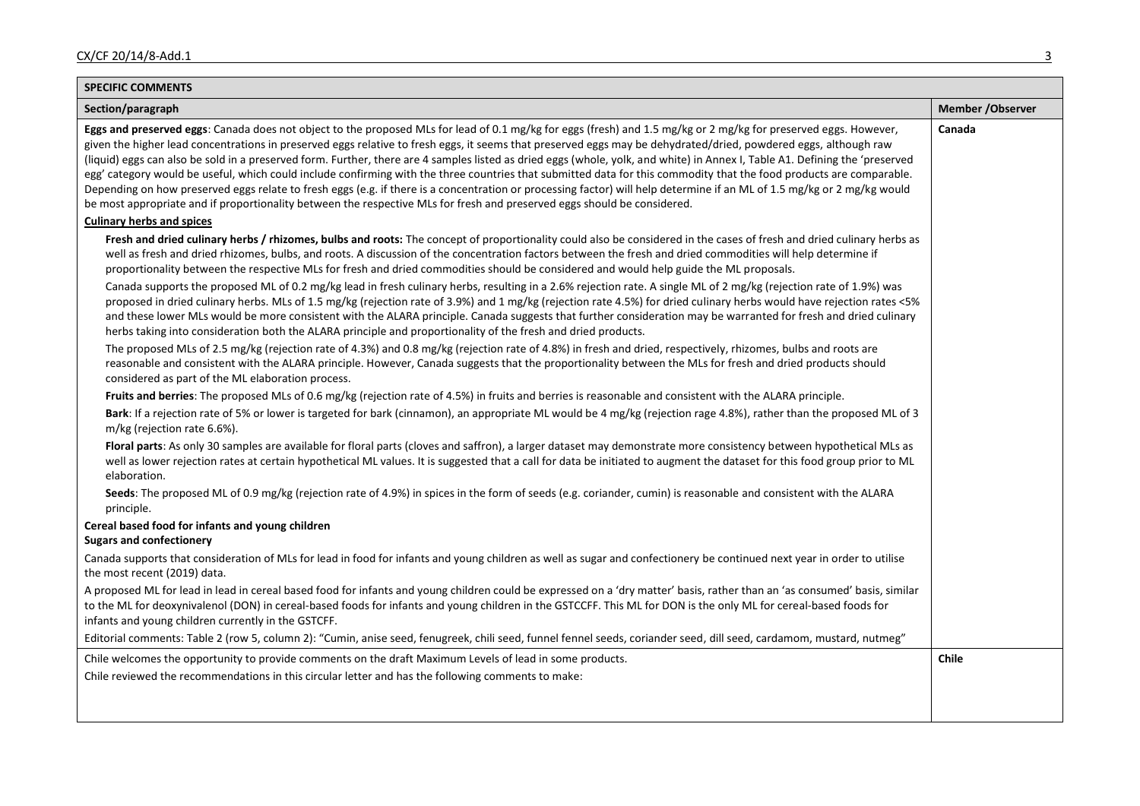| <b>SPECIFIC COMMENTS</b>                                                                                                                                                                                                                                                                                                                                                                                                                                                                                                                                                                                                                                                                                                                                                                                                                                                                                                                                                                                                                                                                                                                                                                                                                                                                                                                                                                                                                                                                                                                                                                                                                                                                                                                                                                                                                                                                                                                                                                                                                                                                                                                                                                                                                                                                                                                                                                                                     |                   |  |
|------------------------------------------------------------------------------------------------------------------------------------------------------------------------------------------------------------------------------------------------------------------------------------------------------------------------------------------------------------------------------------------------------------------------------------------------------------------------------------------------------------------------------------------------------------------------------------------------------------------------------------------------------------------------------------------------------------------------------------------------------------------------------------------------------------------------------------------------------------------------------------------------------------------------------------------------------------------------------------------------------------------------------------------------------------------------------------------------------------------------------------------------------------------------------------------------------------------------------------------------------------------------------------------------------------------------------------------------------------------------------------------------------------------------------------------------------------------------------------------------------------------------------------------------------------------------------------------------------------------------------------------------------------------------------------------------------------------------------------------------------------------------------------------------------------------------------------------------------------------------------------------------------------------------------------------------------------------------------------------------------------------------------------------------------------------------------------------------------------------------------------------------------------------------------------------------------------------------------------------------------------------------------------------------------------------------------------------------------------------------------------------------------------------------------|-------------------|--|
| Section/paragraph                                                                                                                                                                                                                                                                                                                                                                                                                                                                                                                                                                                                                                                                                                                                                                                                                                                                                                                                                                                                                                                                                                                                                                                                                                                                                                                                                                                                                                                                                                                                                                                                                                                                                                                                                                                                                                                                                                                                                                                                                                                                                                                                                                                                                                                                                                                                                                                                            | Member / Observer |  |
| Eggs and preserved eggs: Canada does not object to the proposed MLs for lead of 0.1 mg/kg for eggs (fresh) and 1.5 mg/kg or 2 mg/kg for preserved eggs. However,<br>given the higher lead concentrations in preserved eggs relative to fresh eggs, it seems that preserved eggs may be dehydrated/dried, powdered eggs, although raw<br>(liquid) eggs can also be sold in a preserved form. Further, there are 4 samples listed as dried eggs (whole, yolk, and white) in Annex I, Table A1. Defining the 'preserved<br>egg' category would be useful, which could include confirming with the three countries that submitted data for this commodity that the food products are comparable.<br>Depending on how preserved eggs relate to fresh eggs (e.g. if there is a concentration or processing factor) will help determine if an ML of 1.5 mg/kg or 2 mg/kg would<br>be most appropriate and if proportionality between the respective MLs for fresh and preserved eggs should be considered.                                                                                                                                                                                                                                                                                                                                                                                                                                                                                                                                                                                                                                                                                                                                                                                                                                                                                                                                                                                                                                                                                                                                                                                                                                                                                                                                                                                                                          | Canada            |  |
| <b>Culinary herbs and spices</b>                                                                                                                                                                                                                                                                                                                                                                                                                                                                                                                                                                                                                                                                                                                                                                                                                                                                                                                                                                                                                                                                                                                                                                                                                                                                                                                                                                                                                                                                                                                                                                                                                                                                                                                                                                                                                                                                                                                                                                                                                                                                                                                                                                                                                                                                                                                                                                                             |                   |  |
| Fresh and dried culinary herbs / rhizomes, bulbs and roots: The concept of proportionality could also be considered in the cases of fresh and dried culinary herbs as<br>well as fresh and dried rhizomes, bulbs, and roots. A discussion of the concentration factors between the fresh and dried commodities will help determine if<br>proportionality between the respective MLs for fresh and dried commodities should be considered and would help guide the ML proposals.<br>Canada supports the proposed ML of 0.2 mg/kg lead in fresh culinary herbs, resulting in a 2.6% rejection rate. A single ML of 2 mg/kg (rejection rate of 1.9%) was<br>proposed in dried culinary herbs. MLs of 1.5 mg/kg (rejection rate of 3.9%) and 1 mg/kg (rejection rate 4.5%) for dried culinary herbs would have rejection rates <5%<br>and these lower MLs would be more consistent with the ALARA principle. Canada suggests that further consideration may be warranted for fresh and dried culinary<br>herbs taking into consideration both the ALARA principle and proportionality of the fresh and dried products.<br>The proposed MLs of 2.5 mg/kg (rejection rate of 4.3%) and 0.8 mg/kg (rejection rate of 4.8%) in fresh and dried, respectively, rhizomes, bulbs and roots are<br>reasonable and consistent with the ALARA principle. However, Canada suggests that the proportionality between the MLs for fresh and dried products should<br>considered as part of the ML elaboration process.<br>Fruits and berries: The proposed MLs of 0.6 mg/kg (rejection rate of 4.5%) in fruits and berries is reasonable and consistent with the ALARA principle.<br>Bark: If a rejection rate of 5% or lower is targeted for bark (cinnamon), an appropriate ML would be 4 mg/kg (rejection rage 4.8%), rather than the proposed ML of 3<br>m/kg (rejection rate 6.6%).<br>Floral parts: As only 30 samples are available for floral parts (cloves and saffron), a larger dataset may demonstrate more consistency between hypothetical MLs as<br>well as lower rejection rates at certain hypothetical ML values. It is suggested that a call for data be initiated to augment the dataset for this food group prior to ML<br>elaboration.<br>Seeds: The proposed ML of 0.9 mg/kg (rejection rate of 4.9%) in spices in the form of seeds (e.g. coriander, cumin) is reasonable and consistent with the ALARA<br>principle. |                   |  |
| Cereal based food for infants and young children                                                                                                                                                                                                                                                                                                                                                                                                                                                                                                                                                                                                                                                                                                                                                                                                                                                                                                                                                                                                                                                                                                                                                                                                                                                                                                                                                                                                                                                                                                                                                                                                                                                                                                                                                                                                                                                                                                                                                                                                                                                                                                                                                                                                                                                                                                                                                                             |                   |  |
| <b>Sugars and confectionery</b>                                                                                                                                                                                                                                                                                                                                                                                                                                                                                                                                                                                                                                                                                                                                                                                                                                                                                                                                                                                                                                                                                                                                                                                                                                                                                                                                                                                                                                                                                                                                                                                                                                                                                                                                                                                                                                                                                                                                                                                                                                                                                                                                                                                                                                                                                                                                                                                              |                   |  |
| Canada supports that consideration of MLs for lead in food for infants and young children as well as sugar and confectionery be continued next year in order to utilise<br>the most recent (2019) data.                                                                                                                                                                                                                                                                                                                                                                                                                                                                                                                                                                                                                                                                                                                                                                                                                                                                                                                                                                                                                                                                                                                                                                                                                                                                                                                                                                                                                                                                                                                                                                                                                                                                                                                                                                                                                                                                                                                                                                                                                                                                                                                                                                                                                      |                   |  |
| A proposed ML for lead in lead in cereal based food for infants and young children could be expressed on a 'dry matter' basis, rather than an 'as consumed' basis, similar<br>to the ML for deoxynivalenol (DON) in cereal-based foods for infants and young children in the GSTCCFF. This ML for DON is the only ML for cereal-based foods for<br>infants and young children currently in the GSTCFF.                                                                                                                                                                                                                                                                                                                                                                                                                                                                                                                                                                                                                                                                                                                                                                                                                                                                                                                                                                                                                                                                                                                                                                                                                                                                                                                                                                                                                                                                                                                                                                                                                                                                                                                                                                                                                                                                                                                                                                                                                       |                   |  |
| Editorial comments: Table 2 (row 5, column 2): "Cumin, anise seed, fenugreek, chili seed, funnel fennel seeds, coriander seed, dill seed, cardamom, mustard, nutmeg"                                                                                                                                                                                                                                                                                                                                                                                                                                                                                                                                                                                                                                                                                                                                                                                                                                                                                                                                                                                                                                                                                                                                                                                                                                                                                                                                                                                                                                                                                                                                                                                                                                                                                                                                                                                                                                                                                                                                                                                                                                                                                                                                                                                                                                                         |                   |  |
| Chile welcomes the opportunity to provide comments on the draft Maximum Levels of lead in some products.<br>Chile reviewed the recommendations in this circular letter and has the following comments to make:                                                                                                                                                                                                                                                                                                                                                                                                                                                                                                                                                                                                                                                                                                                                                                                                                                                                                                                                                                                                                                                                                                                                                                                                                                                                                                                                                                                                                                                                                                                                                                                                                                                                                                                                                                                                                                                                                                                                                                                                                                                                                                                                                                                                               | Chile             |  |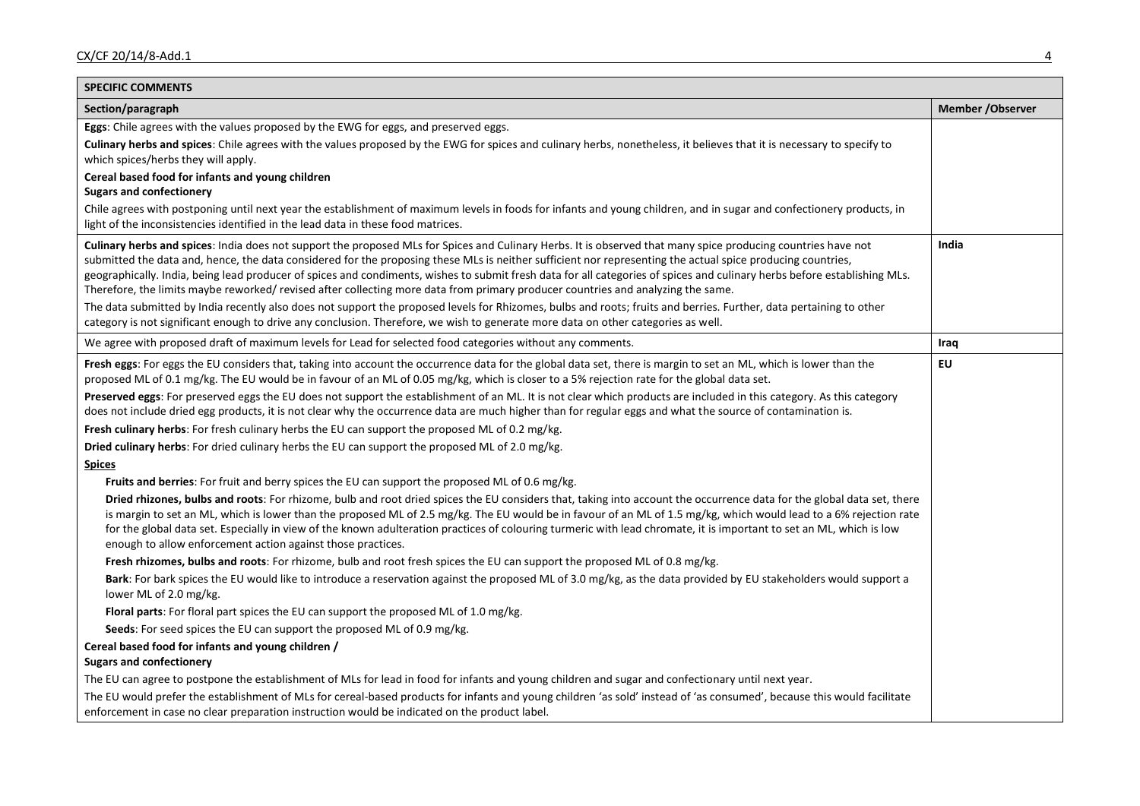| <b>SPECIFIC COMMENTS</b>                                                                                                                                                                                                                                                                                                                                                                                                                                                                                                                                                                                                                      |                   |
|-----------------------------------------------------------------------------------------------------------------------------------------------------------------------------------------------------------------------------------------------------------------------------------------------------------------------------------------------------------------------------------------------------------------------------------------------------------------------------------------------------------------------------------------------------------------------------------------------------------------------------------------------|-------------------|
| Section/paragraph                                                                                                                                                                                                                                                                                                                                                                                                                                                                                                                                                                                                                             | Member / Observer |
| Eggs: Chile agrees with the values proposed by the EWG for eggs, and preserved eggs.                                                                                                                                                                                                                                                                                                                                                                                                                                                                                                                                                          |                   |
| Culinary herbs and spices: Chile agrees with the values proposed by the EWG for spices and culinary herbs, nonetheless, it believes that it is necessary to specify to<br>which spices/herbs they will apply.                                                                                                                                                                                                                                                                                                                                                                                                                                 |                   |
| Cereal based food for infants and young children<br><b>Sugars and confectionery</b>                                                                                                                                                                                                                                                                                                                                                                                                                                                                                                                                                           |                   |
| Chile agrees with postponing until next year the establishment of maximum levels in foods for infants and young children, and in sugar and confectionery products, in<br>light of the inconsistencies identified in the lead data in these food matrices.                                                                                                                                                                                                                                                                                                                                                                                     |                   |
| Culinary herbs and spices: India does not support the proposed MLs for Spices and Culinary Herbs. It is observed that many spice producing countries have not<br>submitted the data and, hence, the data considered for the proposing these MLs is neither sufficient nor representing the actual spice producing countries,<br>geographically. India, being lead producer of spices and condiments, wishes to submit fresh data for all categories of spices and culinary herbs before establishing MLs.<br>Therefore, the limits maybe reworked/ revised after collecting more data from primary producer countries and analyzing the same. | India             |
| The data submitted by India recently also does not support the proposed levels for Rhizomes, bulbs and roots; fruits and berries. Further, data pertaining to other<br>category is not significant enough to drive any conclusion. Therefore, we wish to generate more data on other categories as well.                                                                                                                                                                                                                                                                                                                                      |                   |
| We agree with proposed draft of maximum levels for Lead for selected food categories without any comments.                                                                                                                                                                                                                                                                                                                                                                                                                                                                                                                                    | Iraq              |
| Fresh eggs: For eggs the EU considers that, taking into account the occurrence data for the global data set, there is margin to set an ML, which is lower than the<br>proposed ML of 0.1 mg/kg. The EU would be in favour of an ML of 0.05 mg/kg, which is closer to a 5% rejection rate for the global data set.                                                                                                                                                                                                                                                                                                                             | EU                |
| Preserved eggs: For preserved eggs the EU does not support the establishment of an ML. It is not clear which products are included in this category. As this category<br>does not include dried egg products, it is not clear why the occurrence data are much higher than for regular eggs and what the source of contamination is.                                                                                                                                                                                                                                                                                                          |                   |
| Fresh culinary herbs: For fresh culinary herbs the EU can support the proposed ML of 0.2 mg/kg.                                                                                                                                                                                                                                                                                                                                                                                                                                                                                                                                               |                   |
| Dried culinary herbs: For dried culinary herbs the EU can support the proposed ML of 2.0 mg/kg.                                                                                                                                                                                                                                                                                                                                                                                                                                                                                                                                               |                   |
| <b>Spices</b>                                                                                                                                                                                                                                                                                                                                                                                                                                                                                                                                                                                                                                 |                   |
| Fruits and berries: For fruit and berry spices the EU can support the proposed ML of 0.6 mg/kg.                                                                                                                                                                                                                                                                                                                                                                                                                                                                                                                                               |                   |
| Dried rhizones, bulbs and roots: For rhizome, bulb and root dried spices the EU considers that, taking into account the occurrence data for the global data set, there<br>is margin to set an ML, which is lower than the proposed ML of 2.5 mg/kg. The EU would be in favour of an ML of 1.5 mg/kg, which would lead to a 6% rejection rate<br>for the global data set. Especially in view of the known adulteration practices of colouring turmeric with lead chromate, it is important to set an ML, which is low<br>enough to allow enforcement action against those practices.                                                           |                   |
| Fresh rhizomes, bulbs and roots: For rhizome, bulb and root fresh spices the EU can support the proposed ML of 0.8 mg/kg.                                                                                                                                                                                                                                                                                                                                                                                                                                                                                                                     |                   |
| Bark: For bark spices the EU would like to introduce a reservation against the proposed ML of 3.0 mg/kg, as the data provided by EU stakeholders would support a<br>lower ML of 2.0 mg/kg.                                                                                                                                                                                                                                                                                                                                                                                                                                                    |                   |
| Floral parts: For floral part spices the EU can support the proposed ML of 1.0 mg/kg.                                                                                                                                                                                                                                                                                                                                                                                                                                                                                                                                                         |                   |
| Seeds: For seed spices the EU can support the proposed ML of 0.9 mg/kg.                                                                                                                                                                                                                                                                                                                                                                                                                                                                                                                                                                       |                   |
| Cereal based food for infants and young children /<br><b>Sugars and confectionery</b>                                                                                                                                                                                                                                                                                                                                                                                                                                                                                                                                                         |                   |
| The EU can agree to postpone the establishment of MLs for lead in food for infants and young children and sugar and confectionary until next year.                                                                                                                                                                                                                                                                                                                                                                                                                                                                                            |                   |
| The EU would prefer the establishment of MLs for cereal-based products for infants and young children 'as sold' instead of 'as consumed', because this would facilitate<br>enforcement in case no clear preparation instruction would be indicated on the product label.                                                                                                                                                                                                                                                                                                                                                                      |                   |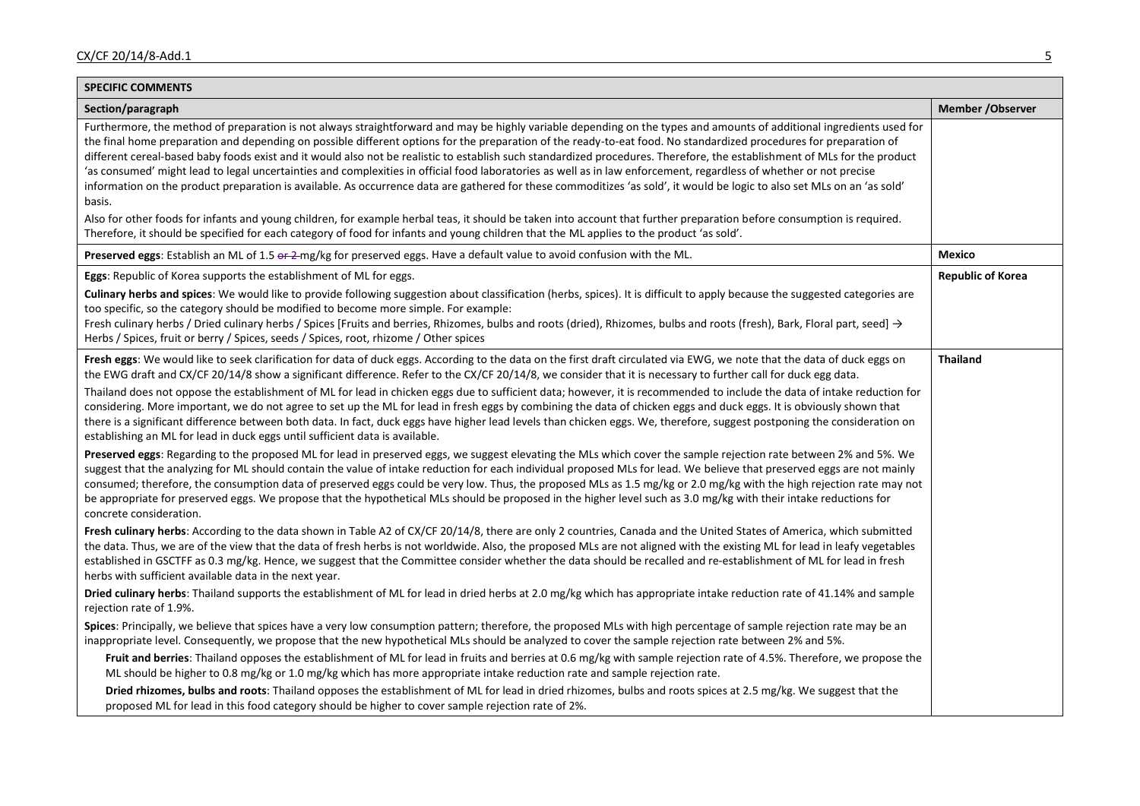| <b>SPECIFIC COMMENTS</b>                                                                                                                                                                                                                                                                                                                                                                                                                                                                                                                                                                                                                                                                                                                                                                                                                                                                                                                                                                                                                                                                                                                                                                                   |                          |
|------------------------------------------------------------------------------------------------------------------------------------------------------------------------------------------------------------------------------------------------------------------------------------------------------------------------------------------------------------------------------------------------------------------------------------------------------------------------------------------------------------------------------------------------------------------------------------------------------------------------------------------------------------------------------------------------------------------------------------------------------------------------------------------------------------------------------------------------------------------------------------------------------------------------------------------------------------------------------------------------------------------------------------------------------------------------------------------------------------------------------------------------------------------------------------------------------------|--------------------------|
| Section/paragraph                                                                                                                                                                                                                                                                                                                                                                                                                                                                                                                                                                                                                                                                                                                                                                                                                                                                                                                                                                                                                                                                                                                                                                                          | Member / Observer        |
| Furthermore, the method of preparation is not always straightforward and may be highly variable depending on the types and amounts of additional ingredients used for<br>the final home preparation and depending on possible different options for the preparation of the ready-to-eat food. No standardized procedures for preparation of<br>different cereal-based baby foods exist and it would also not be realistic to establish such standardized procedures. Therefore, the establishment of MLs for the product<br>'as consumed' might lead to legal uncertainties and complexities in official food laboratories as well as in law enforcement, regardless of whether or not precise<br>information on the product preparation is available. As occurrence data are gathered for these commoditizes 'as sold', it would be logic to also set MLs on an 'as sold'<br>basis.<br>Also for other foods for infants and young children, for example herbal teas, it should be taken into account that further preparation before consumption is required.<br>Therefore, it should be specified for each category of food for infants and young children that the ML applies to the product 'as sold'. |                          |
| Preserved eggs: Establish an ML of 1.5 or 2-mg/kg for preserved eggs. Have a default value to avoid confusion with the ML.                                                                                                                                                                                                                                                                                                                                                                                                                                                                                                                                                                                                                                                                                                                                                                                                                                                                                                                                                                                                                                                                                 | <b>Mexico</b>            |
| <b>Eggs:</b> Republic of Korea supports the establishment of ML for eggs.                                                                                                                                                                                                                                                                                                                                                                                                                                                                                                                                                                                                                                                                                                                                                                                                                                                                                                                                                                                                                                                                                                                                  | <b>Republic of Korea</b> |
| Culinary herbs and spices: We would like to provide following suggestion about classification (herbs, spices). It is difficult to apply because the suggested categories are<br>too specific, so the category should be modified to become more simple. For example:<br>Fresh culinary herbs / Dried culinary herbs / Spices [Fruits and berries, Rhizomes, bulbs and roots (dried), Rhizomes, bulbs and roots (fresh), Bark, Floral part, seed] $\rightarrow$<br>Herbs / Spices, fruit or berry / Spices, seeds / Spices, root, rhizome / Other spices                                                                                                                                                                                                                                                                                                                                                                                                                                                                                                                                                                                                                                                    |                          |
| Fresh eggs: We would like to seek clarification for data of duck eggs. According to the data on the first draft circulated via EWG, we note that the data of duck eggs on<br>the EWG draft and CX/CF 20/14/8 show a significant difference. Refer to the CX/CF 20/14/8, we consider that it is necessary to further call for duck egg data.<br>Thailand does not oppose the establishment of ML for lead in chicken eggs due to sufficient data; however, it is recommended to include the data of intake reduction for<br>considering. More important, we do not agree to set up the ML for lead in fresh eggs by combining the data of chicken eggs and duck eggs. It is obviously shown that<br>there is a significant difference between both data. In fact, duck eggs have higher lead levels than chicken eggs. We, therefore, suggest postponing the consideration on<br>establishing an ML for lead in duck eggs until sufficient data is available.                                                                                                                                                                                                                                               | <b>Thailand</b>          |
| Preserved eggs: Regarding to the proposed ML for lead in preserved eggs, we suggest elevating the MLs which cover the sample rejection rate between 2% and 5%. We<br>suggest that the analyzing for ML should contain the value of intake reduction for each individual proposed MLs for lead. We believe that preserved eggs are not mainly<br>consumed; therefore, the consumption data of preserved eggs could be very low. Thus, the proposed MLs as 1.5 mg/kg or 2.0 mg/kg with the high rejection rate may not<br>be appropriate for preserved eggs. We propose that the hypothetical MLs should be proposed in the higher level such as 3.0 mg/kg with their intake reductions for<br>concrete consideration.                                                                                                                                                                                                                                                                                                                                                                                                                                                                                       |                          |
| Fresh culinary herbs: According to the data shown in Table A2 of CX/CF 20/14/8, there are only 2 countries, Canada and the United States of America, which submitted<br>the data. Thus, we are of the view that the data of fresh herbs is not worldwide. Also, the proposed MLs are not aligned with the existing ML for lead in leafy vegetables<br>established in GSCTFF as 0.3 mg/kg. Hence, we suggest that the Committee consider whether the data should be recalled and re-establishment of ML for lead in fresh<br>herbs with sufficient available data in the next year.                                                                                                                                                                                                                                                                                                                                                                                                                                                                                                                                                                                                                         |                          |
| Dried culinary herbs: Thailand supports the establishment of ML for lead in dried herbs at 2.0 mg/kg which has appropriate intake reduction rate of 41.14% and sample<br>rejection rate of 1.9%.                                                                                                                                                                                                                                                                                                                                                                                                                                                                                                                                                                                                                                                                                                                                                                                                                                                                                                                                                                                                           |                          |
| Spices: Principally, we believe that spices have a very low consumption pattern; therefore, the proposed MLs with high percentage of sample rejection rate may be an<br>inappropriate level. Consequently, we propose that the new hypothetical MLs should be analyzed to cover the sample rejection rate between 2% and 5%.<br>Fruit and berries: Thailand opposes the establishment of ML for lead in fruits and berries at 0.6 mg/kg with sample rejection rate of 4.5%. Therefore, we propose the<br>ML should be higher to 0.8 mg/kg or 1.0 mg/kg which has more appropriate intake reduction rate and sample rejection rate.                                                                                                                                                                                                                                                                                                                                                                                                                                                                                                                                                                         |                          |
| Dried rhizomes, bulbs and roots: Thailand opposes the establishment of ML for lead in dried rhizomes, bulbs and roots spices at 2.5 mg/kg. We suggest that the<br>proposed ML for lead in this food category should be higher to cover sample rejection rate of 2%.                                                                                                                                                                                                                                                                                                                                                                                                                                                                                                                                                                                                                                                                                                                                                                                                                                                                                                                                        |                          |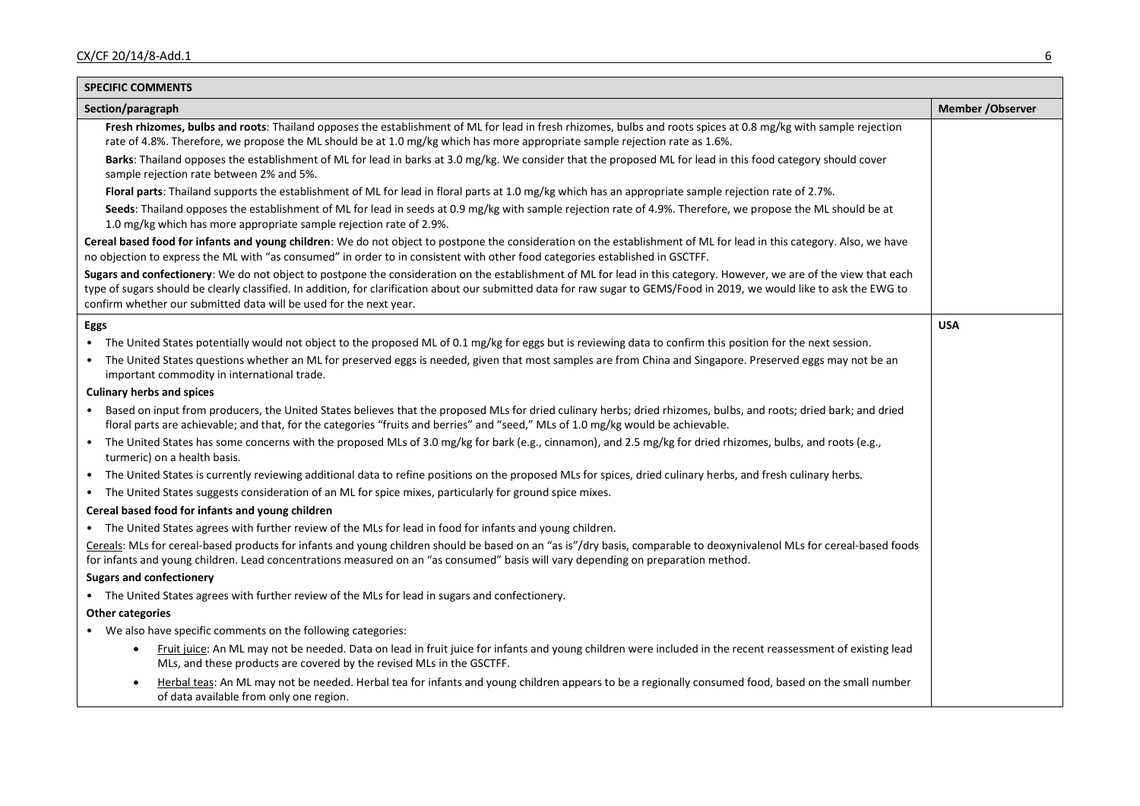| <b>SPECIFIC COMMENTS</b>                                                                                                                                                                                                                                                                                                                                                                                               |                   |
|------------------------------------------------------------------------------------------------------------------------------------------------------------------------------------------------------------------------------------------------------------------------------------------------------------------------------------------------------------------------------------------------------------------------|-------------------|
| Section/paragraph                                                                                                                                                                                                                                                                                                                                                                                                      | Member / Observer |
| Fresh rhizomes, bulbs and roots: Thailand opposes the establishment of ML for lead in fresh rhizomes, bulbs and roots spices at 0.8 mg/kg with sample rejection<br>rate of 4.8%. Therefore, we propose the ML should be at 1.0 mg/kg which has more appropriate sample rejection rate as 1.6%.                                                                                                                         |                   |
| Barks: Thailand opposes the establishment of ML for lead in barks at 3.0 mg/kg. We consider that the proposed ML for lead in this food category should cover<br>sample rejection rate between 2% and 5%.                                                                                                                                                                                                               |                   |
| Floral parts: Thailand supports the establishment of ML for lead in floral parts at 1.0 mg/kg which has an appropriate sample rejection rate of 2.7%.                                                                                                                                                                                                                                                                  |                   |
| Seeds: Thailand opposes the establishment of ML for lead in seeds at 0.9 mg/kg with sample rejection rate of 4.9%. Therefore, we propose the ML should be at<br>1.0 mg/kg which has more appropriate sample rejection rate of 2.9%.                                                                                                                                                                                    |                   |
| Cereal based food for infants and young children: We do not object to postpone the consideration on the establishment of ML for lead in this category. Also, we have<br>no objection to express the ML with "as consumed" in order to in consistent with other food categories established in GSCTFF.                                                                                                                  |                   |
| Sugars and confectionery: We do not object to postpone the consideration on the establishment of ML for lead in this category. However, we are of the view that each<br>type of sugars should be clearly classified. In addition, for clarification about our submitted data for raw sugar to GEMS/Food in 2019, we would like to ask the EWG to<br>confirm whether our submitted data will be used for the next year. |                   |
| Eggs                                                                                                                                                                                                                                                                                                                                                                                                                   | <b>USA</b>        |
| The United States potentially would not object to the proposed ML of 0.1 mg/kg for eggs but is reviewing data to confirm this position for the next session.                                                                                                                                                                                                                                                           |                   |
| The United States questions whether an ML for preserved eggs is needed, given that most samples are from China and Singapore. Preserved eggs may not be an<br>important commodity in international trade.                                                                                                                                                                                                              |                   |
| <b>Culinary herbs and spices</b>                                                                                                                                                                                                                                                                                                                                                                                       |                   |
| Based on input from producers, the United States believes that the proposed MLs for dried culinary herbs; dried rhizomes, bulbs, and roots; dried bark; and dried<br>floral parts are achievable; and that, for the categories "fruits and berries" and "seed," MLs of 1.0 mg/kg would be achievable.                                                                                                                  |                   |
| The United States has some concerns with the proposed MLs of 3.0 mg/kg for bark (e.g., cinnamon), and 2.5 mg/kg for dried rhizomes, bulbs, and roots (e.g.,<br>turmeric) on a health basis.                                                                                                                                                                                                                            |                   |
| The United States is currently reviewing additional data to refine positions on the proposed MLs for spices, dried culinary herbs, and fresh culinary herbs.<br>$\bullet$                                                                                                                                                                                                                                              |                   |
| The United States suggests consideration of an ML for spice mixes, particularly for ground spice mixes.<br>$\bullet$                                                                                                                                                                                                                                                                                                   |                   |
| Cereal based food for infants and young children                                                                                                                                                                                                                                                                                                                                                                       |                   |
| • The United States agrees with further review of the MLs for lead in food for infants and young children.                                                                                                                                                                                                                                                                                                             |                   |
| Cereals: MLs for cereal-based products for infants and young children should be based on an "as is"/dry basis, comparable to deoxynivalenol MLs for cereal-based foods<br>for infants and young children. Lead concentrations measured on an "as consumed" basis will vary depending on preparation method.                                                                                                            |                   |
| <b>Sugars and confectionery</b>                                                                                                                                                                                                                                                                                                                                                                                        |                   |
| • The United States agrees with further review of the MLs for lead in sugars and confectionery.                                                                                                                                                                                                                                                                                                                        |                   |
| <b>Other categories</b>                                                                                                                                                                                                                                                                                                                                                                                                |                   |
| • We also have specific comments on the following categories:                                                                                                                                                                                                                                                                                                                                                          |                   |
| Fruit juice: An ML may not be needed. Data on lead in fruit juice for infants and young children were included in the recent reassessment of existing lead<br>MLs, and these products are covered by the revised MLs in the GSCTFF.                                                                                                                                                                                    |                   |
| Herbal teas: An ML may not be needed. Herbal tea for infants and young children appears to be a regionally consumed food, based on the small number<br>$\bullet$<br>of data available from only one region.                                                                                                                                                                                                            |                   |